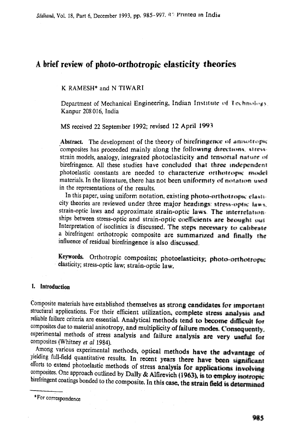# A brief review of photo-orthotropic elasticity theories

K RAMESH\* and N TIWARI

Department of Mechanical Engineering, Indian Institute of Technology. Kanpur 208 016, India

MS received 22 September 1992; revised 12 April 1993

Abstract. The development of the theory of birefringence of amountrypic composites has proceeded mainly along the following directions, stressstrain models, analogy, integrated photoelasticity and tensorial nature of birefringence. All these studies have concluded that three independent photoelastic constants are needed to characterize orthotrope model materials. In the literature, there has not been uniformity of notation uses in the representations of the results.

In this paper, using uniform notation, existing photo-orthotropic class. city theories are reviewed under three major headings:  $\frac{1}{2}$  are  $\frac{1}{2}$  and  $\frac{1}{2}$ . strain-optic laws and approximate strain-optic laws. The interrelationships between stress-optic and strain-optic coefficients are brought out Interpretation of isoclinics is discussed. The steps necessary to calibrate a birefringent orthotropic composite are summarized and finally the influence of residual birefringence is also discussed,

Keywords. Orthotropic composites; photoelasticity; photo-orthotropec elasticity; stress-optic taw; strain-optic law,

## **1. Introduction**

Composite materials have established themselves as strong candidates for important structural applications. For their efficient utilization, complete stress analysis and reliable failure criteria are essential. Analytical methods tend to become difficult for composites due to material anisotropy, and multiplicity of failure modes. Consequently, experimental methods of stress analysis and failure analysis are very useful for composites (Whitney *et al* 1984).

Among various experimental methods, optical methods have the advantage of yielding full-field quantitative results. In recent years there have been significant efforts to extend photoelastic methods of stress analysis for applications involving composites. One approach outlined by Dally & Alfirevich (1963), is to employ isotropic birefringent coatings bonded to the composite. In this case, the strain field is determined

\* For correspondence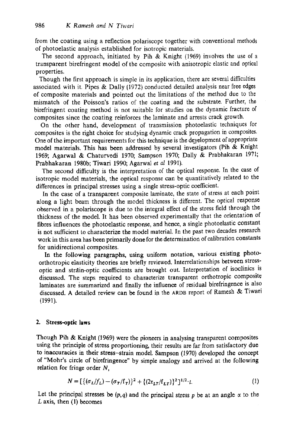from the coating using a reflection polariscope together with conventional methods of photoelastic analysis established for isotropic materials.

The second approach, initiated by Pih & Knight (1969) involves the use of a transparent birefringent model of the composite with anisotropic elastic and optical properties.

Though the first approach is simple in its application, there are several difficalties associated with it. Pipes & Dally (1972) conducted detailed analysis near free edges of composite materials and pointed out the limitations of the method due to the mismatch of the Poisson's ratios of the coating and the substrate. Further, the birefringent coating method is not suitable for studies on the dynamic fracture of composites since the coating reinforces the laminate and arrests crack growth.

On the other hand, development of transmission photoelastic techniques for composites is the right choice for studying dynamic crack propagation in composites. One of the important requirements for this technique is the development of appropriate model materials. This has been addressed by several investigators (Pih & Knight 1969; Agarwal & Chaturvedi 1970; Sampson 1970; Dally & Prabhakaran 1971; Prabhakaran 1980b; Tiwari 1990; Agarwal *et al* 1991).

The second difficulty is the interpretation of the optical response. In the case of isotropic model materials, the optical response can be quantitatively related to the differences in principal stresses using a single stress-optic coefficient.

In the case of a transparent composite laminate, the state of stress at each point along a light beam through the model thickness is different. The optical response observed in a polariscope is due to the integral effect of the stress field through the thickness of the model. It has been observed experimentally that the orientation of fibres influences the photoelastic response, and hence, a single photoelastic constant is not sufficient to characterize the model material. In the past two decades research work in this area has been primarily done for the determination of calibration constants for unidirectional composites.

In the following paragraphs, using uniform notation, various existing photoorthotropic elasticity theories are briefly reviewed. Interrelationships between strossoptic and strain-optic coefficients are brought out. Interpretation of isoclinics is discussed, The steps required to characterize transparent orthotropic composite laminates are summarized and finally the influence of residual birefringence is also discussed. A detailed review can be found in the ARDB report of Ramesh & Tiwari (1991).

#### **2. Stress-optic laws**

Though Pih & Knight (1969) were the pioneers in analysing transparent composites using the principle of stress proportioning, their results are far from satisfactory due to inaccuracies in their stress-strain model. Sampson (1970) developed the concept of "Mohr's circle of birefringence" by simple analogy and arrived at the following relation for fringe order  $N$ ,

$$
N = \left[ \{ (\sigma_L/f_L) - (\sigma_T/f_T) \}^2 + \{ (2\tau_{LT}/f_{LT}) \}^2 \right]^{1/2} \cdot t. \tag{1}
$$

Let the principal stresses be  $(p,q)$  and the principal stress p be at an angle  $\alpha$  to the L axis, then (1) becomes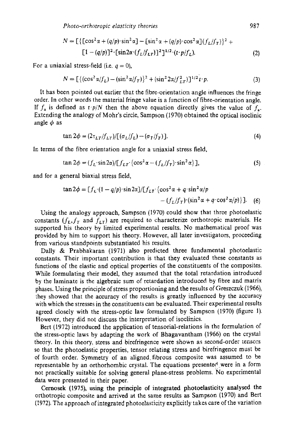$$
N = \left[ \left\{ \left[ \cos^2 \alpha + (q/p) \cdot \sin^2 \alpha \right] - \left[ \sin^2 \alpha + (q/p) \cdot \cos^2 \alpha \right] (f_L/f_T) \right\}^2 + \left[ 1 - (q/p) \right]^2 \cdot \left[ \sin 2\alpha \cdot (f_L/f_{LT}) \right]^2 \right]^{1/2} \cdot (t \cdot p/f_L). \tag{2}
$$

For a uniaxial stress-field (i.e.  $q = 0$ ),

$$
N = \left[ \left\{ (\cos^2 \alpha / f_L) - (\sin^2 \alpha / f_T) \right\}^2 + (\sin^2 2\alpha / f_{LT}^2) \right]^{1/2} t \cdot p. \tag{3}
$$

It has been pointed out earlier that the fibre-orientation angle influences the fringe order. In other words the material fringe value is a function of fibre-orientation angle. If  $f<sub>\alpha</sub>$  is defined as  $t\cdot p/N$  then the above equation directly gives the value of  $f<sub>\alpha</sub>$ . Extending the analogy of Mohr's circle, Sampson (1970) obtained the optical isoclinic angle  $\phi$  as

$$
\tan 2\phi = (2\tau_{LT}/f_{LT})/[(\sigma_L/f_L) - (\sigma_T/f_T)].
$$
\n(4)

In terms of the fibre orientation angle for a uniaxial stress field,

$$
\tan 2\phi = (f_L \cdot \sin 2\alpha) \left[ f_{LT} \cdot \left\{ \cos^2 \alpha - (f_L/f_T) \cdot \sin^2 \alpha \right\} \right],\tag{5}
$$

and for a general biaxial stress field,

$$
\tan 2\phi = [f_L \cdot (1 - q/p) \cdot \sin 2\alpha]/[f_{LT} \cdot \{\cos^2 \alpha + q \cdot \sin^2 \alpha/p - (f_L/f_T) \cdot (\sin^2 \alpha + q \cdot \cos^2 \alpha/p)\}].
$$
 (6)

Using the analogy approach, Sampson (1970) could show that three photoelastic constants  $(f_L, f_T)$  and  $f_{LT}$ ) are required to characterize orthotropic materials. He supported his theory by limited experimental results. No mathematical proof was provided by him to support his theory. However, all later investigators, proceeding from various standpoints substantiated his results.

Dally & Prabhakaran (1971) also predicted three fundamental photoelastic constants. Their important contribution is that they evaluated these constants as functions of the elastic and optical properties of the constituents of the composites. While formulating their model, they assumed that the total retardation introduced by the laminate is the algebraic sum of retardation introduced by fibre and matrix phases. Using the principle of stress proportioning and the results of Greszczuk (1966), they showed that the accuracy of the results is greatly influenced by the accuracy with which the stresses in the constituents can be evaluated. Their experimental results agreed closely with the stress-optic law formulated by Sampson (1970) (figure 1). However, they did not discuss the interpretation of isoclinics.

Bert (1972) introduced the application of tensorial-relations in the formulation of the stress-optic laws by adapting the work of Bhagavantham (1966) on the crystal theory. In this theory, stress and birefringence were shown as second-order tensors so that the photoelastic properties, tensor relating stress and birefringence must be of fourth order. Symmetry of an aligned, fibrous composite was assumed to be representable by an orthorhombic crystal. The equations presented were in a form not practically suitable for solving general plane-stress problems. No experimental data were presented in their paper.

Cernosek (1975), using the principle of integrated photoelasticity analysed the orthotropic composite and arrived at the same results as Sampson (1970) and Bert (1972). The approach of integrated photoelasticity explicitly takes care of the variation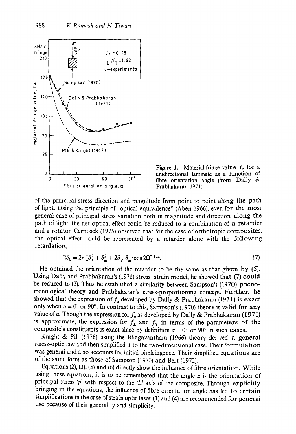



of the principal stress direction and magnitude from point to point along the path of light. Using the principle of "optical equivalence" (Aben 1966), even for the most general ease of principal stress variation both in magnitude and direction along the path of light, the net optical effect could be reduced to a combination of a retarder and a rotator. Cernosek (1975) observed that for the case of orthotropic composites, the optical effect could be represented by a retarder alone with the following retardation,

$$
2\delta_0 = 2n[\delta_f^2 + \delta_m^2 + 2\delta_f \delta_m \cdot \cos 2\Omega]^{1/2}.
$$
 (7)

He obtained the orientation of the retarder to be the same as that given by (5). Using Dally and Prabhakaran's (1971) stress-strain model, he showed that (7) could be reduced to (3). Thus he established a similarity between Sampson's 11970) phenomenological theory and Prabhakaran's stress-proportioning concept. Further, he showed that the expression of  $f_{\alpha}$  developed by Dally & Prabhakaran (1971) is exact only when  $\alpha = 0^\circ$  or 90°. In contrast to this, Sampson's (1970) theory is valid for any value of  $\alpha$ . Though the expression for  $f_{\alpha}$  as developed by Dally & Prabhakaran (1971) is approximate, the expression for  $f_L$  and  $f_T$  in terms of the parameters of the composite's constituents is exact since by definition  $\alpha = 0^{\circ}$  or 90° in such cases.

Knight & Pih (1976) using the Bhagavantham (1966) theory derived a general stress-optic law and then simplified it to the two-dimensional ease. Their formulation was general and also accounts for initial birefringence. Their simplified equations are of the same form as those of Sampson (1970) and Bert (1972).

Equations (2), (3), (5) and (6) directly show the influence of fibre orientation. While using these equations, it is to be remembered that the angle  $x$  is the orientation of principal stress 'p' with respect to the 'L' axis of the composite. Through explicitly bringing in the equations, the influence of fibre orientation angle has led to certain simplifications in the ease of strain optic laws; (1) and (4) are recommended for general use because of their generality and simplicity.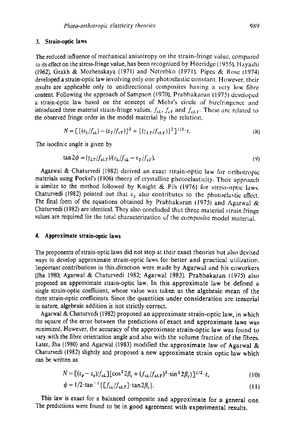#### **3. Strain-optic Laws**

The reduced influence of mechanical anisotropy on the strain-fringe wdue, compared to its effect on the stress-fringe value, has been recognized by Horridge (1955}, Hayashi (1962), Grakh & Mozhenskaya (197I) and Netrebko (1971}. Pipes & Rose 11974) developed a strain-optic law involving only one photoelastic constant. However, their results are applicable only to unidirectional composites having a very low fibre content. Following the approach of Sampson (1970), Prabhakaran (1975) developed a strain-optic law based on the concept of Mohr's circle of bircfringcnce and introduced three material strain-fringe values,  $f_{\epsilon L}$ ,  $f_{\epsilon T}$  and  $f_{\epsilon L T}$ . These are related to the observed fringe order in the model material by the relation,

$$
N = \left[ \left\{ (\varepsilon_L / f_{\varepsilon L}) - (\varepsilon_T / f_{\varepsilon T}) \right\}^2 + \left\{ (\gamma_{LT} / f_{\varepsilon L T}) \right\}^2 \right]^{1/2} \cdot t. \tag{8}
$$

The isoclinic angle is given by

$$
\tan 2\phi = (\gamma_{LT}/f_{eLT})/(\varepsilon_L/f_{eL} - \varepsilon_T/f_{eT}).
$$
\n(9)

Agarwal & Chaturvedi (1982) derived an exact strain-optic law for orthotropic materials using Pockel's (1906) theory of crystalline photoelasticity. Their approach is similar to the method followed by Knight & Pih (1976) for stress-optic laws. Chaturvedi (1982) pointed out that  $\varepsilon_3$  also contributes to the photoelastic effect. The final form of the equations obtained by Prabhakaran (1975) and Agarwal  $\&$ Chaturvedi (1982) are identical. They also concluded that three material strain fringe values are required for the total characterization of the composite model material.

#### **4. Approximate strain-optic laws**

The proponents of strain-optic laws did not stop at their exact theories but also devised ways to develop approximate strain-optic laws for better and practical utilization. Important contributions in this direction were made by Agarwal and his coworkers (Jha 1980; Agarwal & Chaturvedi 1982; Agarwat 1983). Prabhakaran {1975) also proposed an approximate strain-optic law. In this approximate law he defined a single strain-optic coefficient, whose value was taken as the algebraic mean of the three strain-optic coefficients. Since the quantities under consideration are tonsorial in nature, algebraic addition is not strictly correct.

Agarwal & Chaturvedi (1982) proposed an approximate strain-optic law, in which the square of the error between the predictions of exact and approximate laws was minimized. However, the accuracy of the approximate strain-optic law was found to vary with the fibre orientation angle and also with the volume fraction of the fibres. Later, Jha (1980) and Agarwal (1983) modified the approximate law of Agarwal & Chaturvedi (1982) slightly and proposed a new approximate strain optic law which can be written as

$$
N = \left[ (\varepsilon_p - \varepsilon_q) / f_{\varepsilon L} \right] \left[ \cos^2 2\beta_c + (f_{\varepsilon L} / f_{\varepsilon L} r)^2 \cdot \sin^2 2\beta_c) \right]^{1/2} \cdot t, \tag{10}
$$

$$
\phi = 1/2 \cdot \tan^{-1} \left\{ \left[ f_{\epsilon L} / f_{\epsilon L T} \right] \cdot \tan 2\beta_c \right\}.
$$
\n(11)

This law is exact for a balanced composite and approximate for a general one. The predictions were found to be in good agreement with experimental results.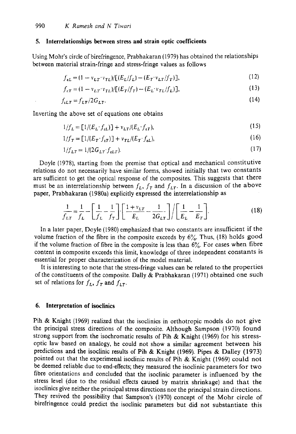#### **5. Interrelationships between stress and strain optic coefficients**

Using Mohr's circle of birefringence, Prabhakaran (1979) has obtained the relationships between material strain-fringe and stress-fringe values as follows

$$
f_{\varepsilon L} = (1 - v_{LT} \cdot v_{TL}) / [(E_L/f_L) - (E_T \cdot v_{LT}/f_T)],
$$
\n(12)

$$
f_{\varepsilon T} = (1 - v_{LT} \cdot v_{TL}) / [(E_T/f_T) - (E_L \cdot v_{TL}/f_L)],
$$
\n(13)

$$
f_{\iota L T} = f_{L T}/2G_{L T}.\tag{14}
$$

Inverting the above set of equations one obtains

$$
1/f_L = \left[1/(E_L \cdot f_{\varepsilon L})\right] + v_{LT}/(E_L \cdot f_{\varepsilon T}),\tag{15}
$$

$$
1/f_T = [1/(E_T \cdot f_{\epsilon T})] + v_{TL}/(E_T \cdot f_{\epsilon L}),
$$
\n(16)

$$
1/f_{LT} = 1/(2G_{LT} \cdot f_{\varepsilon LT}).\tag{17}
$$

Doyle (1978), starting from the premise that optical and mechanical constitutive relations do not necessarily have similar forms, showed initially that two constants are sufficient to get the optical response of the composites. This suggests that there must be an interrelationship between  $f_L$ ,  $f_T$  and  $f_{LT}$ . In a discussion of the above paper, Prabhakaran (1980a) explicitly expressed the interrelationship as

$$
\frac{1}{f_{LT}} = \frac{1}{f_L} - \left[ \frac{1}{f_L} - \frac{1}{f_T} \right] \cdot \left[ \frac{1 + v_{LT}}{E_L} - \frac{1}{2G_{LT}} \right] / \left[ \frac{1}{E_L} - \frac{1}{E_T} \right].
$$
\n(18)

In a later paper, Doyle (1980) emphasized that two constants are insufficient if the volume fraction of the fibre in the composite exceeds by  $6\%$ . Thus, (18) holds good if the volume fraction of fibre in the composite is less than  $6\%$ . For cases when fibre content in composite exceeds this limit, knowledge of three independent constants is essential for proper characterization of the model material.

It is interesting to note that the stress-fringe values can be related to the properties of the constituents of the composite. Dally & Prabhakaran (1971) obtained one such set of relations for  $f_L$ ,  $f_T$  and  $f_{LT}$ .

## **6. Interpretation of isoclinics**

Pih & Knight (1969) realized that the isoclinics in orthotropic models do not give the principal stress directions of the composite. Although Sampson (1970) found strong support from the isochromatic results of Pih  $\&$  Knight (1969) for his stressoptic law based on analogy, he could not show a similar agreement between his predictions and the isoclinic results of Pih & Knight (1969). Pipes & Dalley (1973) pointed out that the experimenal isoclinic results of Pih & Knight (1969) could not be deemed reliable due to end-effects; they measured the isoclinic parameters for two fibre orientations and concluded that the isoclinic parameter is influenced by the stress level (due to the residual effects caused by matrix shrinkage) and that the isoclinics give neither the principal stress directions nor the principal strain directions. They revived the possibility that Sampson's (1970) concept of the Mohr circle of birefringence could predict the isoclinic parameters but did not substantiate this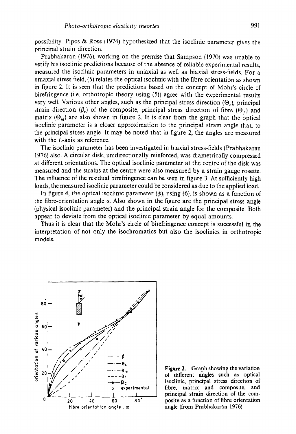possibility. Pipes & Rose (1974) hypothesized that the isoclinic parameter gives the principal strain direction.

Prabhakaran (1976), working on the premise that Sampson (1970) was unable to verify his isoclinic predictions because of the absence of reliable experimental results, measured the isoclinic parameters in uniaxial as well as biaxial stress-fields. For a uniaxial stress field, (5) relates the optical isoclinic with the fibre orientation as shown in figure 2. It is seen that the predictions based on the concept of Mohr's circle of birefringence (i.e. orthotropic theory using (5)) agree with the experimental results very well. Various other angles, such as the principal stress direction  $(\Theta_0)$ , principal strain direction ( $\beta_c$ ) of the composite, principal stress direction of fibre ( $\Theta_f$ ) and matrix  $(\Theta_m)$  are also shown in figure 2. It is clear from the graph that the optical isoclinic parameter is a closer approximation to the principal strain angle than to the principal stress angle. It may be noted that in figure 2, the angles are measured with the *L*-axis as reference.

The isoclinic parameter has been investigated in biaxial stress-fields (Prabhakaran 1976) also. A circular disk, unidirectionally reinforced, was diametrically compressed at different orientations. The optical isoclinic parameter at the centre of the disk was measured and the strains at the centre were also measured by a strain gauge rosette. The influence of the residual birefringence can be seen in figure 3. At sufficiently high loads, the measured isoclinic parameter could be considered as due to the applied load.

In figure 4, the optical isoclinic parameter ( $\phi$ ), using (6), is shown as a function of the fibre-orientation angle  $\alpha$ . Also shown in the figure are the principal stress angle (physical isoclinic parameter) and the principal strain angle for the composite. Both appear to deviate from the optical isoclinic parameter by equal amounts.

Thus it is clear that the Mohr's circle of birefringence concept is successful in the interpretation of not only the isochromatics but also the isoclinics in orthotropic models.



Figure 2. Graph showing the variation of different angles such as optical isoclinic, principal stress direction of fibre, matrix and composite, and principal strain direction of the composite as a function of fibre orientation angle (from Prabhakaran 1976).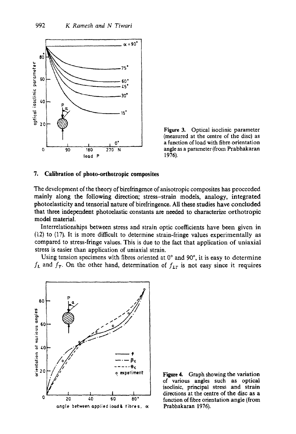

**Figure 3. Optical isoclinic parameter (measured at the centre of the disc) as a function of load with fibre orientation angle as a parameter (from Prabhakaran 1976).** 

#### **7. Calibration of photo-orthotropic composites**

**The development of the theory of birefringence of anisotropic composites has proceeded mainly along the following direction; stress-strain models, analogy, integrated photoelasticity and tensorial nature of birefringence. All these studies have concluded that three independent photoelastic constants are needed to characterize orthotropie model material.** 

**Interrelationships between stress and strain optic coefficients have been given in (i2) to (17). It is more difficult to determine strain-fringe values experimentally as compared to stress-fringe values. This is due to the fact that application of uniaxial stress is easier than application of uniaxial strain.** 

Using tension specimens with fibres oriented at 0° and 90°, it is easy to determine  $f_L$  and  $f_T$ . On the other hand, determination of  $f_{LT}$  is not easy since it requires



**Figure 4. Graph showing the variation of various angles such as optical isoclinic, principal stress and strain directions at the centre of the disc as a function of fibre orientation angle (from Prabhakaran 1976).**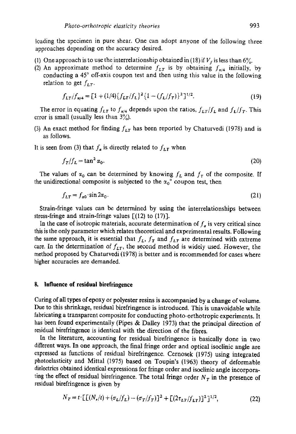loading the specimen in pure shear. One can adopt anyone of the following three approaches depending on the accuracy desired.

- (1) One approach is to use the interrelationship obtained in (18) if  $V_f$  is less than 6%.
- (2) An approximate method to determine  $f_{LT}$  is by obtaining  $f_{\pi/4}$  initially, by conducting a  $45^\circ$  off-axis coupon test and then using this value in the following relation to get  $f_{LT}$ .

$$
f_{LT}/f_{\pi/4} = [1 + (1/4)\{f_{LT}/f_L\}^2 \{1 - (f_L/f_T)\}^2]^{1/2}.
$$
 (19)

The error in equating  $f_{LT}$  to  $f_{\pi/4}$  depends upon the ratios,  $f_{LT}/f_L$  and  $f_L/f_T$ . This error is small (usually less than  $3\frac{\cancel{0}}{\cancel{0}}$ ).

(3) An exact method for finding  $f_{LT}$  has been reported by Chaturvedi (1978) and is as follows.

It is seen from (3) that  $f_a$  is directly related to  $f_{LT}$  when

$$
f_T/f_L = \tan^2 \alpha_0. \tag{20}
$$

The values of  $x_0$  can be determined by knowing  $f_L$  and  $f_T$  of the composite. If the unidirectional composite is subjected to the  $\alpha_0^{\circ}$  coupon test, then

$$
f_{LT} = f_{\alpha 0} \cdot \sin 2\alpha_0. \tag{21}
$$

Strain-fringe values can be determined by using the interrelationships between stress-fringe and strain-fringe values  $\lceil (12) \rceil$  to  $(17)$ ].

In the case of isotropic materials, accurate determination of  $f<sub>g</sub>$  is very critical since this is the only parameter which relates theoretical and experimental results. Following the same approach, it is essential that  $f_L$ ,  $f_T$  and  $f_{LT}$  are determined with extreme care. In the determination of  $f_{LT}$ , the second method is widely used. However, the method proposed by Chaturvedi (1978) is better and is recommended for cases where higher accuracies are demanded.

## **8. Influence of residual birefringence**

Curing of all types of epoxy or polyester resins is accompanied by a change of volume. Due to this shrinkage, residual birefringence is introduced. This is unavoidable while fabricating a transparent composite for conducting photo-orthotropic experiments. It has been found experimentally (Pipes & Dalley 1973) that the principal direction of residual birefringence is identical with the direction of the fibres.

In the literature, accounting for residual birefringence is basically done in two different ways. In one approach, the final fringe order and optical isoclinic angle are expressed as functions of residual birefringence. Cernosek (1975) using integrated photoelasticity and Mittal (1975) based on Toupin's (1963) theory of deformable dielectrics obtained identical expressions for fringe order and isoclinic angle incorporating the effect of residual birefringence. The total fringe order  $N<sub>T</sub>$  in the presence of residual birefringence is given by

$$
N_T = t \cdot \left[ \left[ (N_r/t) + (\sigma_L/f_L) - (\sigma_T/f_T) \right]^2 + \left[ (2\tau_{LT}/f_{LT}) \right]^2 \right]^{1/2},\tag{22}
$$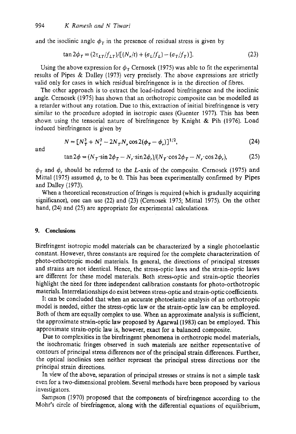and the isoclinic angle  $\phi_T$  in the presence of residual stress is given by

$$
\tan 2\phi_T = (2\tau_{LT}/f_{LT})/[(N_r/t) + (\sigma_L/f_L) - (\sigma_T/f_T)].
$$
\n(23)

Using the above expression for  $\phi_T$  Cernosek (1975) was able to fit the experimental results of Pipes & Dalley (1973) very precisely. The above expressions are strictly valid only for cases in which residual birefringence is in the direction of fibres.

The other approach is to extract the load-induced birefringence and the isoclinic angle. Cernosek (1975) has shown that an orthotropic composite can be modelled as a retarder without any rotation. Due to this, extraction of initial birefringence is very similar to the procedure adopted in isotropic cases (Guenter 1977). This has been shown using the tensorial nature of birefringence by Knight & Pih (1976). Load induced birefringence is given by

and

$$
N = [N_T^2 + N_r^2 - 2N_T N_r \cos 2(\phi_T - \phi_r)]^{1/2},
$$
\n(24)

$$
\tan 2\phi = (N_T \cdot \sin 2\phi_T - N_r \cdot \sin 2\phi_r)/(N_T \cdot \cos 2\phi_T - N_r \cdot \cos 2\phi_r),\tag{25}
$$

 $\phi_T$  and  $\phi_r$ , should be referred to the L-axis of the composite. Cernosek (1975) and Mittal (1975) assumed  $\phi$ , to be 0. This has been experimentally confirmed by Pipes and Dalley (1973).

When a theoretical reconstruction of fringes is required (which is gradually acquiring significance), one can use (22) and (23) (Cemosek 1975; Mittal 1975). On the other hand, (24) and (25) are appropriate for experimental calculations.

## **9. Conclusions**

Birefringent isotropic model materials can be characterized by a single photoelastic constant. However, three constants are required for the complete characterization of photo-orthotropic model materials. In general, the directions of principal stresses and strains are not identical. Hence, the stress-optic laws and the strain-optic laws are different for these model materials. Both stress-optic and strain-optic theories highlight the need for three independent calibration constants for photo-orthotropic materials. Interrelationships do exist between stress-optic and strain-optic coefficients.

It can be concluded that when an accurate photoelastic analysis of an orthotropic model is needed, either the stress-optic law or the strain-optic law can be employed; Both of them are equally complex to use. When an approximate analysis is sufficient, the approximate strain-optic law proposed by Agarwal (1983) can be employed. This approximate strain-optic law is, however, exact for a balanced composite.

Due to complexities in the birefringent phenomena in orthotropic model materials, the isochromatic fringes observed in such materials are neither representative of contours of principal stress differences nor of the principal strain differences. Further, the optical isoclinics seen neither represent the principal stress directions nor the principal strain directions.

In view of the above, separation of principal stresses or strains is not a simple task even for a two-dimensional problem. Several methods have been proposed by various investigators.

Sampson (1970) proposed that the components of birefringence according to the Mohr's circle of birefringence, along with the differential equations of equilibrium,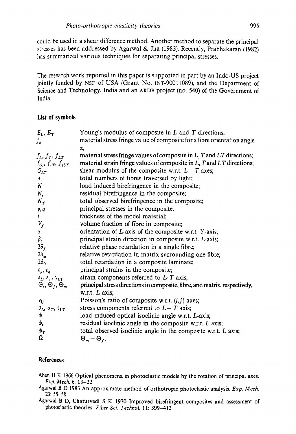could be used in a shear difference method. Another method to separate the principal stresses has been addressed by Agarwal & Jha (1983). Recently, Prabhakaran (1982) has summarized various techniques for separating principal stresses.

The research work reported in this paper is supported in part by an lndo-US project jointly funded by NSF of USA (Grant No. INT-90011089), and the Department of Science and Technology, India and an ARDB project (no. 540) of the Government of India.

### **List of symbols**

| $E_L, E_T$                                                        | Young's modulus of composite in $L$ and $T$ directions;                      |
|-------------------------------------------------------------------|------------------------------------------------------------------------------|
| $f_{\alpha}$                                                      | material stress fringe value of composite for a fibre orientation angle      |
|                                                                   | α;                                                                           |
| $f_L, f_T, f_{LT}$                                                | material stress fringe values of composite in $L$ , $T$ and $LT$ directions; |
| $f_{\varepsilon L}$ , $f_{\varepsilon T}$ , $f_{\varepsilon L T}$ | material strain fringe values of composite in $L$ , $T$ and $LT$ directions; |
| $G_{LT}$                                                          | shear modulus of the composite w.r.t. $L-T$ axes;                            |
| $\mathbf{n}$                                                      | total numbers of fibres traversed by light;                                  |
| $\boldsymbol{N}$                                                  | load induced birefringence in the composite;                                 |
| $N_{r}$                                                           | residual birefringence in the composite;                                     |
| $N_T$                                                             | total observed birefringence in the composite;                               |
| p, q                                                              | principal stresses in the composite;                                         |
| $\mathfrak{t}$                                                    | thickness of the model material;                                             |
| $V_f$                                                             | volume fraction of fibre in composite;                                       |
| α                                                                 | orientation of L-axis of the composite w.r.t. Y-axis;                        |
| $\beta_c$                                                         | principal strain direction in composite w.r.t. L-axis;                       |
| $2\delta_f$                                                       | relative phase retardation in a single fibre;                                |
| $2\delta_m$                                                       | relative retardation in matrix surrounding one fibre;                        |
| $2\delta_0$                                                       | total retardation in a composite laminate;                                   |
| $\varepsilon_p, \varepsilon_q$                                    | principal strains in the composite;                                          |
| $\varepsilon_L$ , $\varepsilon_T$ , $\gamma_{LT}$                 | strain components referred to $L$ -T axis;                                   |
| $\Theta_c$ , $\Theta_f$ , $\Theta_m$                              | principal stress directions in composite, fibre, and matrix, respectively,   |
|                                                                   | w.r.t. $L$ axis;                                                             |
| $v_{ij}$                                                          | Poisson's ratio of composite w.r.t. $(i, j)$ axes;                           |
| $\sigma_L$ , $\sigma_T$ , $\tau_{LT}$                             | stress components referred to $L-T$ axis;                                    |
| φ                                                                 | load induced optical isoclinic angle w.r.t. L-axis;                          |
| $\phi_{\bm r}$                                                    | residual isoclinic angle in the composite w.r.t. L axis;                     |
| $\phi_T$                                                          | total observed isoclinic angle in the composite w.r.t. L axis;               |
| Ω                                                                 | $\Theta_m - \Theta_f$ .                                                      |

## **References.**

Aben H K 1966 Optical phenomena in photoelastic models by the rotation of principal axes. *Exp. Mech.* 6:13-22

- Agarwal B D 1983 An approximate method of orthotropic photoelastic analysis. *Exp. Mech.*  23:55-58
- Agarwal B D, Chaturvedi S K 1970 Improved birefringent composites and assessment of photoelastic theories. *Fiber Sci. Technol.* I 1:399-412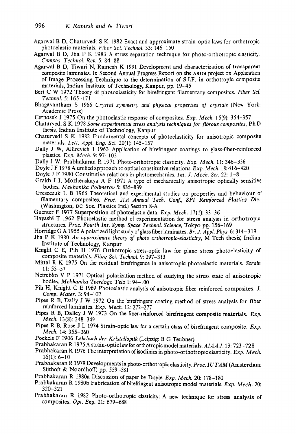- Agarwal B D, Chaturvedi S K 1982 Exact and approximate strain optic laws for orthotropic photoelastic materials. *Fiber Sci. Technol.* 33:146-150
- Agarwal B D, Jha P K 1983 A stress separation technique for photo-orthotropic elasticity. *Compos. Technol. Rev.* 5:84-88
- Agarwal B D, Tiwari N, Ramesh K 1991 Development and characterization of transparent composite laminates. In Second Annual Progress Report on the ARDB project on Application of Image Processing Technique to the determination of S.I.F. in orthotropic composite materials, Indian Institute of Technology, Kanpur, pp. 19-45
- Bert C W 1972 Theory of photoelasticity for birefringent filamentary composites. *Fiber Sci. Technol.* 5:165-171
- Bhagavantham S 1966 *Crystal symmetry and physical properties of crystals* (New York: Academic Press)
- Cernosek J I975 On the photoelastic response of composites. *Exp. Mech.* 15(9): 354-357
- Chaturvedi S K 1978 *Some experimental stress analysis techniques for fibrous composites,* Ph D thesis, Indian Institute of Technology, Kanpur
- Chaturvedi S K 1982 Fundamental concepts of photoelasticity for anisotropic composite materials. *Lett. Appl. Eng. Sci.* 20(1): 145-157
- Dally J W, Alfirevich I 1963 Application of birefringent coatings to glass-fiber-reinforced plastics. *Exp. Mech.* 9:97-102
- Dally J W, Prabhakaran R 1971 Photo-orthotropic elasticity. *Exp. Mech.* 11:346-356
- Doyle J F 1978 A unified approach to optical constitutive relations. *Exp. Mech.* 18:416-420
- Doyle J F 1980 Constitutive relations in photomechanics. *Int. d. Mech. Sci.* 22:1-8
- Grakh I I, Mozhenskaya A F 1971 A type of mechanically anisotropic optically sensitive bodies. *Mekhanika Polimerov* 5:835-839
- Greszczuk L B 1966 Theoretical and experimental studies on properties and behaviour of filamentary composites. *Proc. 21st Annual Tech. Conf., SPI Reinforced Plastics Div.*  (Washington, DC: Soc. Plastics Ind.) Section 8-A
- Guenter F 1977 Superposition of photoelastic data. *Exp. Mech.* 17(1): 33-36
- Hayashi T 1962 Photoelastic method of experimentation for stress analysis in orthotropic structures. *Proc. Fourth Int. Syrup. Space Technol. Science,* Tokyo pp. 156-169
- Horridge G A 1955 A polarized light study of glass fiber laminates. *Br. J. Appl. Phys.* 6:314-319
- Jha P K 1980 *An approximate theory of photo orthotropic-eIasticity,* M Tech thesis; Indian Institute of Technology, Kanpur
- Knight C E, Pih H 1976 Orthotropic stress-optic law for plane stress photoelasticity of composite materials. *Ffbre Sci. Technol.* 9:297-313
- Mittal R K 1975 On the residual birefringence in anisotropic photoelastic materials. *Strain*  11:55-57
- Netrebko V P 1971 Optical polarization method of studying the stress state of anisotropic bodies. *Mekhanika Tverdo9o Tela* 1:94-100
- Pih H, Knight C E 1969 Photoelastic analysis of anisotropic fiber reinforced composites. J. *Comp. Mater.* 3:94-107
- Pipes R B, Dally J W 1972 On the birefringent coating method of stress analysis for fiber reinforced laminates. *Exp. Mech.* 12:272-277
- Pipes R B, Dalley J W 1973 On the fiber-reinforced birefringent composite materials. *Exp. Mech.* i3(8): 348--349
- Pipes R B, Rose J L 1974 Strain-optic law for a certain class of birefringent composite. *Exp. Mech.* 14:355-360
- Pockels F 1906 Lehrbuch der Kristalloptik (Leipzig: B G Teubner)
- Prabhakaran R 1975 A strain-optic law for orthotropic model materials. *AIAA* J. 13:723-728
- Prabhakaran R 1976 The interpretation ofisoclinics in photo-orthotropic elasticity. *Exp. Mech.*  16(1): 6-10
- Prabhakaran R 1979 Developments in photo-orthotropic elasticity. *Proc. 1UTAM* (Amsterdam: Sijthoft & Noordhoff) pp. 559-581
- Prabhakaran R 1980a Discussion of paper by Doyle. *Exp. Mech.* 20:178-180
- Prabhakaran R i980b Fabrication of birefringent anisotropic model materials. *Exp. Mech.* 20: 320-321
- Prabhakaran R 1982 Photo-orthotropic elasticity: A new technique for stress analysis of composites. *Opt. Eng.* 21:679-688